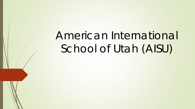# American International School of Utah (AISU)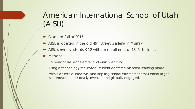## American International School of Utah (AISU)

- Opened fall of 2015
- AISU is located in the old 49<sup>th</sup> Street Galleria in Murray
- AISU serves students K-12 with an enrollment of 1345 students
- Mission:

*To personalize, accelerate, and enrich learning…* 

*using a technology-facilitated, student-centered blended learning model…* 

*within a flexible, creative, and inspiring school environment that encourages students to be personally invested and globally engaged.*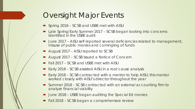## Oversight Major Events

- Spring 2016 SCSB and USBE met with AISU
- Late Spring/Early Summer 2017 SCSB began looking into concerns identified in the USBE audit
- June 2017 AISU self reported several deficiencies related to management, misuse of public monies and comingling of funds
- August 2017 AISU reported to SCSB
- August 2017 SCSB issued a Notice of Concern
- Fall 2017 SCSB and USBE met with AISU
- Early 2018 SCSB assisted AISU in a root cause analysis
- Early 2018 SCSB contracted with a mentor to help AISU; this mentor worked closely with AISU's director throughout the year
- Summer 2018 SCSB contracted with an external accounting firm to analyze financial viability
- June 2018 USBE began auditing the Special Ed monies
- Fall 2018 SCSB began a comprehensive review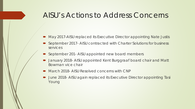#### AISU's Actions to Address Concerns

- May 2017-AISU replaced its Executive Director appointing Nate Justis
- September 2017- AISU contracted with Charter Solutions for business services
- September 201- AISU appointed new board members
- January 2018- AISU appointed Kent Burggraaf board chair and Matt Bowman vice chair
- **March 2018- AISU Resolved concerns with CNP**
- June 2018- AISU again replaced its Executive Director appointing Tasi Young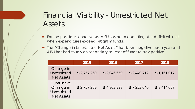## Financial Viability - Unrestricted Net Assets

- For the past four school years, AISU has been operating at a deficit which is when expenditures exceed program funds.
- The "Change in Unrestricted Net Assets" has been negative each year and AISU has had to rely on secondary sources of funds to stay positive.

|                                                              | 2015          | 2016          | 2017          | 2018          |
|--------------------------------------------------------------|---------------|---------------|---------------|---------------|
| Change in<br><b>Unrestricted</b><br><b>Net Assets</b>        | $$-2,757,269$ | $$-2,046,659$ | $$-2,449,712$ | $$-1,161,017$ |
| Cumulative<br>Change in<br>Unrestricted<br><b>Net Assets</b> | $$-2,757,269$ | $$-4,803,928$ | $$-7,253,640$ | $$-8,414,657$ |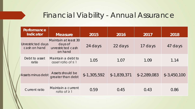#### Financial Viability - Annual Assurance

| Performance<br>Indicator          | <b>Measure</b>                                                  | 2015          | 2016          | 2017          | 2018          |
|-----------------------------------|-----------------------------------------------------------------|---------------|---------------|---------------|---------------|
| Unrestricted days<br>cash on hand | Maintain at least 30<br>days of<br>unrestricted cash<br>on hand | 24 days       | 22 days       | 17 days       | 47 days       |
| Debt to asset<br>ratio            | Maintain a debt to<br>asset ratio of $\leq$ 1                   | 1.05          | 1.07          | 1.09          | 1.14          |
| <b>Assets minus debt</b>          | Assets should be<br>greater than debt                           | $$-1,305,592$ | $$-1,839,371$ | $$-2,289,083$ | $$-3,450,100$ |
| Current ratio                     | Maintain a current<br>ratio of $\geq$ 1                         | 0.59          | 0.45          | 0.43          | 0.86          |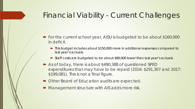#### Financial Viability - Current Challenges

- For the current school year, AISU is budgeted to be about \$160,000 in deficit.
	- This budget includes about \$150,000 more in additional expenses compared to last year's actuals.
	- Staff costs are budgeted to be about \$80,000 lower than last year's actuals
- As of today, there is about \$490,388 of questioned SPED expenditures that may have to be repaid (2016: \$291,307 and 2017: \$199,081). This is not a final figure.
- Other Board of Education audits are expected.
- Management structure with AIS adds more risk.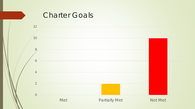